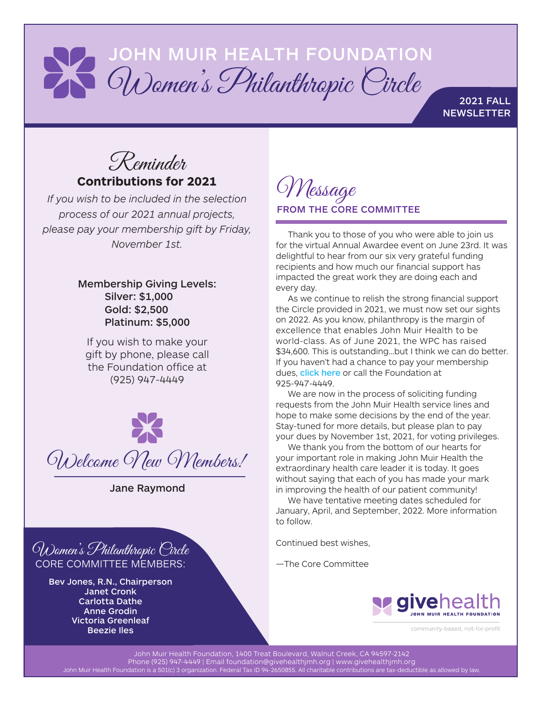## JOHN MUIR HEALTH FOUNDATION Women's Philanthropic Circle

2021 FALL **NEWSLETTER** 

Reminder **Contributions for 2021**

*If you wish to be included in the selection process of our 2021 annual projects, please pay your membership gift by Friday, November 1st.*

## Membership Giving Levels: Silver: \$1,000 Gold: \$2,500 Platinum: \$5,000

If you wish to make your gift by phone, please call the Foundation office at (925) 947-4449



Jane Raymond



Bev Jones, R.N., Chairperson Janet Cronk Carlotta Dathe Anne Grodin Victoria Greenleaf Beezie Iles

Message FROM THE CORE COMMITTEE

Thank you to those of you who were able to join us for the virtual Annual Awardee event on June 23rd. It was delightful to hear from our six very grateful funding recipients and how much our financial support has impacted the great work they are doing each and every day.

As we continue to relish the strong financial support the Circle provided in 2021, we must now set our sights on 2022. As you know, philanthropy is the margin of excellence that enables John Muir Health to be world-class. As of June 2021, the WPC has raised \$34,600. This is outstanding…but I think we can do better. If you haven't had a chance to pay your membership dues, [click here](https://www.givehealthjmh.org/give-health/give-now) or call the Foundation at 925-947-4449.

We are now in the process of soliciting funding requests from the John Muir Health service lines and hope to make some decisions by the end of the year. Stay-tuned for more details, but please plan to pay your dues by November 1st, 2021, for voting privileges.

We thank you from the bottom of our hearts for your important role in making John Muir Health the extraordinary health care leader it is today. It goes without saying that each of you has made your mark in improving the health of our patient community!

We have tentative meeting dates scheduled for January, April, and September, 2022. More information to follow.

Continued best wishes,

—The Core Committee



community-based, not-for-profit

John Muir Health Foundation, 1400 Treat Boulevard, Walnut Creek, CA 94597-2142 Phone (925) 947-4449 | Email foundation@givehealthjmh.org | www.givehealthjmh.org John Muir Health Foundation is a 501(c) 3 organization. Federal Tax ID 94-2650855. All charitable contributions are tax-deductible as allowed by law.